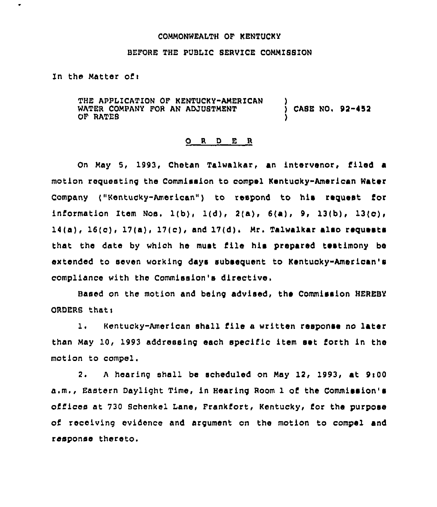## COMMONWEALTH OF KENTUCKY

## BEFORE THE PUBLIC SERVICE COMMISSION

In the Matter of $<sub>1</sub>$ </sub>

 $\bullet$ 

THE APPLICATION OF KENTUCKY-AMERICAN WATER COMPANY FOR AN ADJUSTMENT OF RATEB ) ) CASE NO< 92 452 )

## ORDER

On May 5, 1993, Chetan Talwalkar, an intervenor, filed a motion requesting the Commission to compel Kentucky-American Water Company ("Kentucky-American") to respond to his request for information Item Nos.  $1(b)$ ,  $1(d)$ ,  $2(a)$ ,  $6(a)$ ,  $9$ ,  $13(b)$ ,  $13(c)$ ,  $14(a)$ ,  $16(c)$ ,  $17(a)$ ,  $17(c)$ , and  $17(d)$ , Mr. Talwalkar also reguests that the date by which he must file his prepared testimony be extended to seven working days subsequent to Kentucky"American's compliance with the Commission's directive.

Based on the motion and being advised, the Commission HEREBY ORDERS that:

1. Kentucky-American shall file a written response no later than May 10, 1993 addressing each specific item set forth in the motion to compel.

2. A hearing shall be scheduled on May 12, 1993, at 9:00 a.m,, Eastern Daylight Time, in Hearing Room 1 of the Commission's offices at 730 Schenkel Lane, Frankfort, Kentucky, for the purpose of receiving evidence and argument on the motion to compel and response thereto.